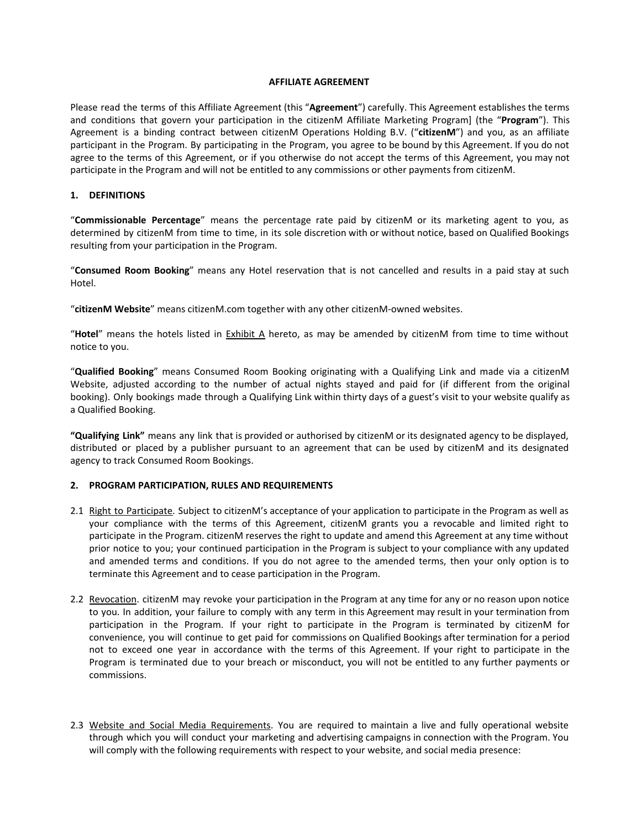#### **AFFILIATE AGREEMENT**

Please read the terms of this Affiliate Agreement (this "**Agreement**") carefully. This Agreement establishes the terms and conditions that govern your participation in the citizenM Affiliate Marketing Program] (the "**Program**"). This Agreement is a binding contract between citizenM Operations Holding B.V. ("**citizenM**") and you, as an affiliate participant in the Program. By participating in the Program, you agree to be bound by this Agreement. If you do not agree to the terms of this Agreement, or if you otherwise do not accept the terms of this Agreement, you may not participate in the Program and will not be entitled to any commissions or other payments from citizenM.

### **1. DEFINITIONS**

"**Commissionable Percentage**" means the percentage rate paid by citizenM or its marketing agent to you, as determined by citizenM from time to time, in its sole discretion with or without notice, based on Qualified Bookings resulting from your participation in the Program.

"**Consumed Room Booking**" means any Hotel reservation that is not cancelled and results in a paid stay at such Hotel.

"**citizenM Website**" means citizenM.com together with any other citizenM-owned websites.

"**Hotel**" means the hotels listed in Exhibit A hereto, as may be amended by citizenM from time to time without notice to you.

"**Qualified Booking**" means Consumed Room Booking originating with a Qualifying Link and made via a citizenM Website, adjusted according to the number of actual nights stayed and paid for (if different from the original booking). Only bookings made through a Qualifying Link within thirty days of a guest's visit to your website qualify as a Qualified Booking.

**"Qualifying Link"** means any link that is provided or authorised by citizenM or its designated agency to be displayed, distributed or placed by a publisher pursuant to an agreement that can be used by citizenM and its designated agency to track Consumed Room Bookings.

### **2. PROGRAM PARTICIPATION, RULES AND REQUIREMENTS**

- 2.1 Right to Participate. Subject to citizenM's acceptance of your application to participate in the Program as well as your compliance with the terms of this Agreement, citizenM grants you a revocable and limited right to participate in the Program. citizenM reserves the right to update and amend this Agreement at any time without prior notice to you; your continued participation in the Program is subject to your compliance with any updated and amended terms and conditions. If you do not agree to the amended terms, then your only option is to terminate this Agreement and to cease participation in the Program.
- 2.2 Revocation. citizenM may revoke your participation in the Program at any time for any or no reason upon notice to you. In addition, your failure to comply with any term in this Agreement may result in your termination from participation in the Program. If your right to participate in the Program is terminated by citizenM for convenience, you will continue to get paid for commissions on Qualified Bookings after termination for a period not to exceed one year in accordance with the terms of this Agreement. If your right to participate in the Program is terminated due to your breach or misconduct, you will not be entitled to any further payments or commissions.
- 2.3 Website and Social Media Requirements. You are required to maintain a live and fully operational website through which you will conduct your marketing and advertising campaigns in connection with the Program. You will comply with the following requirements with respect to your website, and social media presence: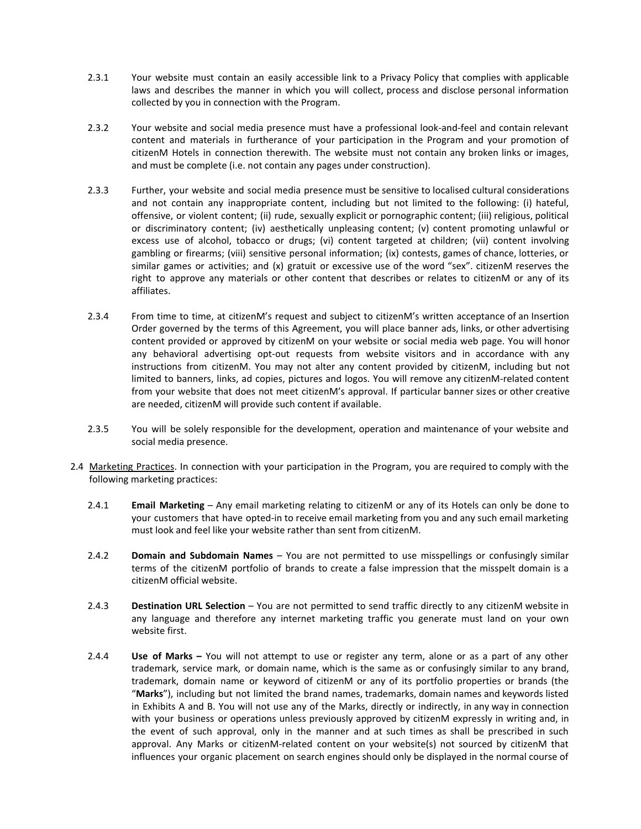- 2.3.1 Your website must contain an easily accessible link to a Privacy Policy that complies with applicable laws and describes the manner in which you will collect, process and disclose personal information collected by you in connection with the Program.
- 2.3.2 Your website and social media presence must have a professional look-and-feel and contain relevant content and materials in furtherance of your participation in the Program and your promotion of citizenM Hotels in connection therewith. The website must not contain any broken links or images, and must be complete (i.e. not contain any pages under construction).
- 2.3.3 Further, your website and social media presence must be sensitive to localised cultural considerations and not contain any inappropriate content, including but not limited to the following: (i) hateful, offensive, or violent content; (ii) rude, sexually explicit or pornographic content; (iii) religious, political or discriminatory content; (iv) aesthetically unpleasing content; (v) content promoting unlawful or excess use of alcohol, tobacco or drugs; (vi) content targeted at children; (vii) content involving gambling or firearms; (viii) sensitive personal information; (ix) contests, games of chance, lotteries, or similar games or activities; and (x) gratuit or excessive use of the word "sex". citizenM reserves the right to approve any materials or other content that describes or relates to citizenM or any of its affiliates.
- 2.3.4 From time to time, at citizenM's request and subject to citizenM's written acceptance of an Insertion Order governed by the terms of this Agreement, you will place banner ads, links, or other advertising content provided or approved by citizenM on your website or social media web page. You will honor any behavioral advertising opt-out requests from website visitors and in accordance with any instructions from citizenM. You may not alter any content provided by citizenM, including but not limited to banners, links, ad copies, pictures and logos. You will remove any citizenM-related content from your website that does not meet citizenM's approval. If particular banner sizes or other creative are needed, citizenM will provide such content if available.
- 2.3.5 You will be solely responsible for the development, operation and maintenance of your website and social media presence.
- 2.4 Marketing Practices. In connection with your participation in the Program, you are required to comply with the following marketing practices:
	- 2.4.1 **Email Marketing** Any email marketing relating to citizenM or any of its Hotels can only be done to your customers that have opted-in to receive email marketing from you and any such email marketing must look and feel like your website rather than sent from citizenM.
	- 2.4.2 **Domain and Subdomain Names** You are not permitted to use misspellings or confusingly similar terms of the citizenM portfolio of brands to create a false impression that the misspelt domain is a citizenM official website.
	- 2.4.3 **Destination URL Selection** You are not permitted to send traffic directly to any citizenM website in any language and therefore any internet marketing traffic you generate must land on your own website first.
	- 2.4.4 **Use of Marks –** You will not attempt to use or register any term, alone or as a part of any other trademark, service mark, or domain name, which is the same as or confusingly similar to any brand, trademark, domain name or keyword of citizenM or any of its portfolio properties or brands (the "**Marks**"), including but not limited the brand names, trademarks, domain names and keywords listed in Exhibits A and B. You will not use any of the Marks, directly or indirectly, in any way in connection with your business or operations unless previously approved by citizenM expressly in writing and, in the event of such approval, only in the manner and at such times as shall be prescribed in such approval. Any Marks or citizenM-related content on your website(s) not sourced by citizenM that influences your organic placement on search engines should only be displayed in the normal course of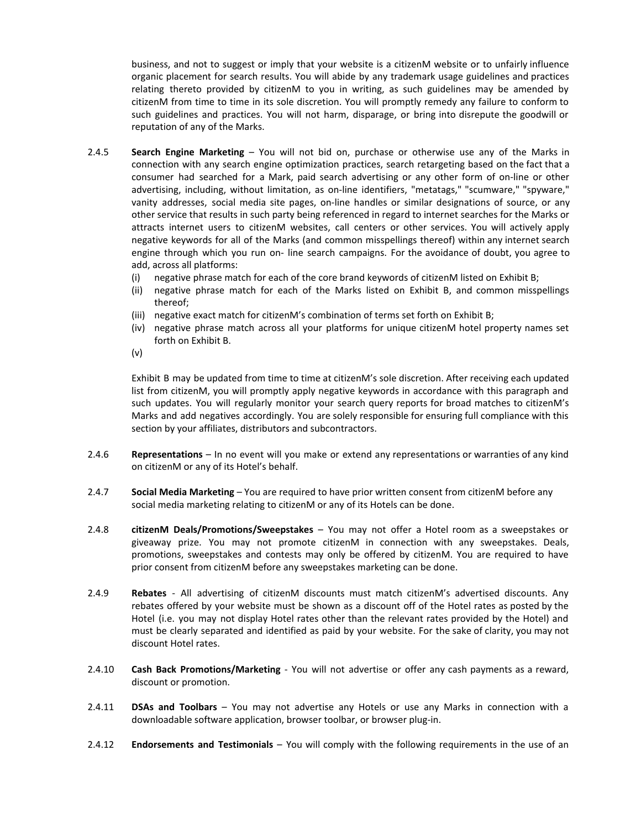business, and not to suggest or imply that your website is a citizenM website or to unfairly influence organic placement for search results. You will abide by any trademark usage guidelines and practices relating thereto provided by citizenM to you in writing, as such guidelines may be amended by citizenM from time to time in its sole discretion. You will promptly remedy any failure to conform to such guidelines and practices. You will not harm, disparage, or bring into disrepute the goodwill or reputation of any of the Marks.

- 2.4.5 **Search Engine Marketing** You will not bid on, purchase or otherwise use any of the Marks in connection with any search engine optimization practices, search retargeting based on the fact that a consumer had searched for a Mark, paid search advertising or any other form of on-line or other advertising, including, without limitation, as on-line identifiers, "metatags," "scumware," "spyware," vanity addresses, social media site pages, on-line handles or similar designations of source, or any other service that results in such party being referenced in regard to internet searches for the Marks or attracts internet users to citizenM websites, call centers or other services. You will actively apply negative keywords for all of the Marks (and common misspellings thereof) within any internet search engine through which you run on- line search campaigns. For the avoidance of doubt, you agree to add, across all platforms:
	- (i) negative phrase match for each of the core brand keywords of citizenM listed on Exhibit B;
	- (ii) negative phrase match for each of the Marks listed on Exhibit B, and common misspellings thereof;
	- (iii) negative exact match for citizenM's combination of terms set forth on Exhibit B;
	- (iv) negative phrase match across all your platforms for unique citizenM hotel property names set forth on Exhibit B.
	- (v)

Exhibit B may be updated from time to time at citizenM's sole discretion. After receiving each updated list from citizenM, you will promptly apply negative keywords in accordance with this paragraph and such updates. You will regularly monitor your search query reports for broad matches to citizenM's Marks and add negatives accordingly. You are solely responsible for ensuring full compliance with this section by your affiliates, distributors and subcontractors.

- 2.4.6 **Representations** In no event will you make or extend any representations or warranties of any kind on citizenM or any of its Hotel's behalf.
- 2.4.7 **Social Media Marketing** You are required to have prior written consent from citizenM before any social media marketing relating to citizenM or any of its Hotels can be done.
- 2.4.8 **citizenM Deals/Promotions/Sweepstakes** You may not offer a Hotel room as a sweepstakes or giveaway prize. You may not promote citizenM in connection with any sweepstakes. Deals, promotions, sweepstakes and contests may only be offered by citizenM. You are required to have prior consent from citizenM before any sweepstakes marketing can be done.
- 2.4.9 **Rebates** All advertising of citizenM discounts must match citizenM's advertised discounts. Any rebates offered by your website must be shown as a discount off of the Hotel rates as posted by the Hotel (i.e. you may not display Hotel rates other than the relevant rates provided by the Hotel) and must be clearly separated and identified as paid by your website. For the sake of clarity, you may not discount Hotel rates.
- 2.4.10 **Cash Back Promotions/Marketing** You will not advertise or offer any cash payments as a reward, discount or promotion.
- 2.4.11 **DSAs and Toolbars** You may not advertise any Hotels or use any Marks in connection with a downloadable software application, browser toolbar, or browser plug-in.
- 2.4.12 **Endorsements and Testimonials** You will comply with the following requirements in the use of an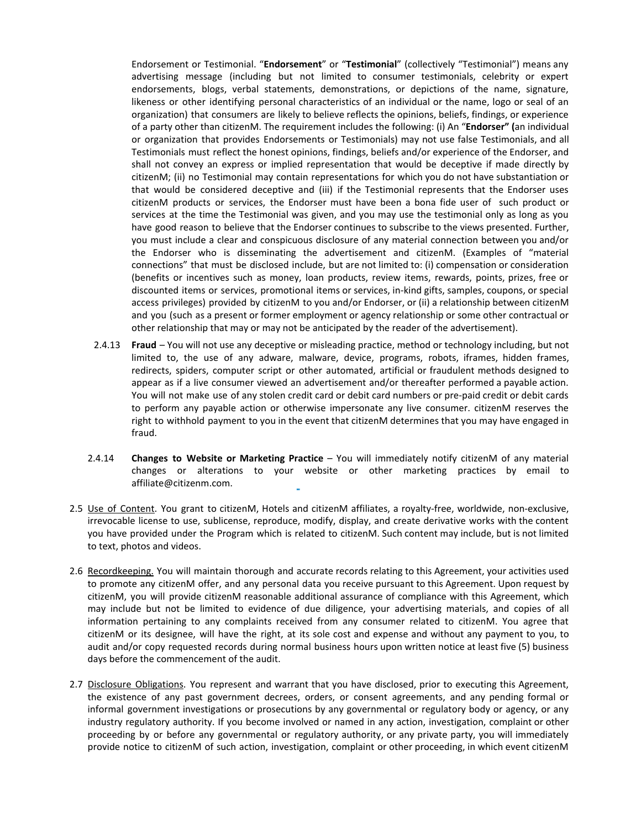Endorsement or Testimonial. "**Endorsement**" or "**Testimonial**" (collectively "Testimonial") means any advertising message (including but not limited to consumer testimonials, celebrity or expert endorsements, blogs, verbal statements, demonstrations, or depictions of the name, signature, likeness or other identifying personal characteristics of an individual or the name, logo or seal of an organization) that consumers are likely to believe reflects the opinions, beliefs, findings, or experience of a party other than citizenM. The requirement includes the following: (i) An "**Endorser" (**an individual or organization that provides Endorsements or Testimonials) may not use false Testimonials, and all Testimonials must reflect the honest opinions, findings, beliefs and/or experience of the Endorser, and shall not convey an express or implied representation that would be deceptive if made directly by citizenM; (ii) no Testimonial may contain representations for which you do not have substantiation or that would be considered deceptive and (iii) if the Testimonial represents that the Endorser uses citizenM products or services, the Endorser must have been a bona fide user of such product or services at the time the Testimonial was given, and you may use the testimonial only as long as you have good reason to believe that the Endorser continues to subscribe to the views presented. Further, you must include a clear and conspicuous disclosure of any material connection between you and/or the Endorser who is disseminating the advertisement and citizenM. (Examples of "material connections" that must be disclosed include, but are not limited to: (i) compensation or consideration (benefits or incentives such as money, loan products, review items, rewards, points, prizes, free or discounted items or services, promotional items or services, in-kind gifts, samples, coupons, or special access privileges) provided by citizenM to you and/or Endorser, or (ii) a relationship between citizenM and you (such as a present or former employment or agency relationship or some other contractual or other relationship that may or may not be anticipated by the reader of the advertisement).

- 2.4.13 **Fraud** You will not use any deceptive or misleading practice, method or technology including, but not limited to, the use of any adware, malware, device, programs, robots, iframes, hidden frames, redirects, spiders, computer script or other automated, artificial or fraudulent methods designed to appear as if a live consumer viewed an advertisement and/or thereafter performed a payable action. You will not make use of any stolen credit card or debit card numbers or pre-paid credit or debit cards to perform any payable action or otherwise impersonate any live consumer. citizenM reserves the right to withhold payment to you in the event that citizenM determines that you may have engaged in fraud.
- 2.4.14 **Changes to Website or Marketing Practice** You will immediately notify citizenM of any material changes or alterations to your website or other marketing practices by email to affiliate@citizenm.com.
- 2.5 Use of Content. You grant to citizenM, Hotels and citizenM affiliates, a royalty-free, worldwide, non-exclusive, irrevocable license to use, sublicense, reproduce, modify, display, and create derivative works with the content you have provided under the Program which is related to citizenM. Such content may include, but is not limited to text, photos and videos.
- 2.6 Recordkeeping. You will maintain thorough and accurate records relating to this Agreement, your activities used to promote any citizenM offer, and any personal data you receive pursuant to this Agreement. Upon request by citizenM, you will provide citizenM reasonable additional assurance of compliance with this Agreement, which may include but not be limited to evidence of due diligence, your advertising materials, and copies of all information pertaining to any complaints received from any consumer related to citizenM. You agree that citizenM or its designee, will have the right, at its sole cost and expense and without any payment to you, to audit and/or copy requested records during normal business hours upon written notice at least five (5) business days before the commencement of the audit.
- 2.7 Disclosure Obligations. You represent and warrant that you have disclosed, prior to executing this Agreement, the existence of any past government decrees, orders, or consent agreements, and any pending formal or informal government investigations or prosecutions by any governmental or regulatory body or agency, or any industry regulatory authority. If you become involved or named in any action, investigation, complaint or other proceeding by or before any governmental or regulatory authority, or any private party, you will immediately provide notice to citizenM of such action, investigation, complaint or other proceeding, in which event citizenM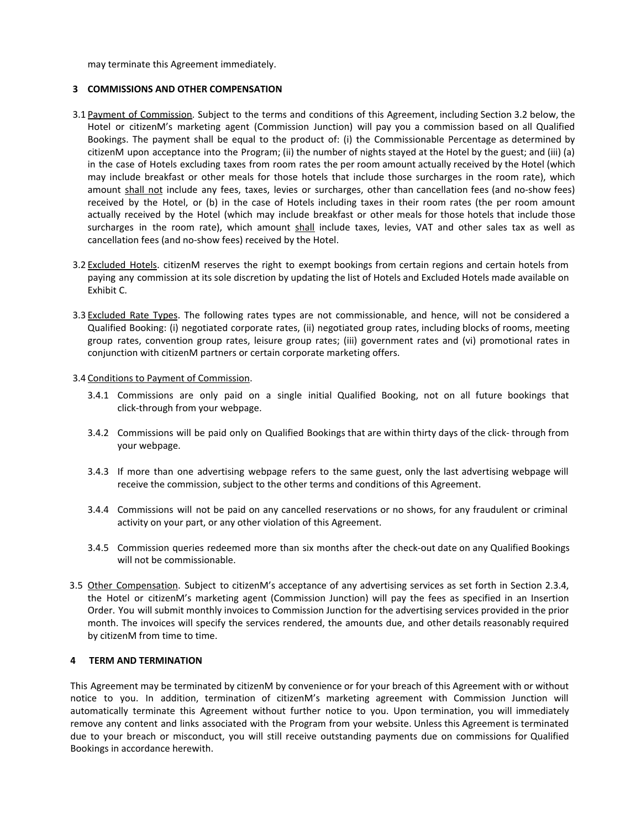may terminate this Agreement immediately.

## **3 COMMISSIONS AND OTHER COMPENSATION**

- 3.1 Payment of Commission. Subject to the terms and conditions of this Agreement, including Section 3.2 below, the Hotel or citizenM's marketing agent (Commission Junction) will pay you a commission based on all Qualified Bookings. The payment shall be equal to the product of: (i) the Commissionable Percentage as determined by citizenM upon acceptance into the Program; (ii) the number of nights stayed at the Hotel by the guest; and (iii) (a) in the case of Hotels excluding taxes from room rates the per room amount actually received by the Hotel (which may include breakfast or other meals for those hotels that include those surcharges in the room rate), which amount shall not include any fees, taxes, levies or surcharges, other than cancellation fees (and no-show fees) received by the Hotel, or (b) in the case of Hotels including taxes in their room rates (the per room amount actually received by the Hotel (which may include breakfast or other meals for those hotels that include those surcharges in the room rate), which amount shall include taxes, levies, VAT and other sales tax as well as cancellation fees (and no-show fees) received by the Hotel.
- 3.2 Excluded Hotels. citizenM reserves the right to exempt bookings from certain regions and certain hotels from paying any commission at its sole discretion by updating the list of Hotels and Excluded Hotels made available on Exhibit C.
- 3.3 Excluded Rate Types. The following rates types are not commissionable, and hence, will not be considered a Qualified Booking: (i) negotiated corporate rates, (ii) negotiated group rates, including blocks of rooms, meeting group rates, convention group rates, leisure group rates; (iii) government rates and (vi) promotional rates in conjunction with citizenM partners or certain corporate marketing offers.

### 3.4 Conditions to Payment of Commission.

- 3.4.1 Commissions are only paid on a single initial Qualified Booking, not on all future bookings that click-through from your webpage.
- 3.4.2 Commissions will be paid only on Qualified Bookings that are within thirty days of the click- through from your webpage.
- 3.4.3 If more than one advertising webpage refers to the same guest, only the last advertising webpage will receive the commission, subject to the other terms and conditions of this Agreement.
- 3.4.4 Commissions will not be paid on any cancelled reservations or no shows, for any fraudulent or criminal activity on your part, or any other violation of this Agreement.
- 3.4.5 Commission queries redeemed more than six months after the check-out date on any Qualified Bookings will not be commissionable.
- 3.5 Other Compensation. Subject to citizenM's acceptance of any advertising services as set forth in Section 2.3.4, the Hotel or citizenM's marketing agent (Commission Junction) will pay the fees as specified in an Insertion Order. You will submit monthly invoices to Commission Junction for the advertising services provided in the prior month. The invoices will specify the services rendered, the amounts due, and other details reasonably required by citizenM from time to time.

### **4 TERM AND TERMINATION**

This Agreement may be terminated by citizenM by convenience or for your breach of this Agreement with or without notice to you. In addition, termination of citizenM's marketing agreement with Commission Junction will automatically terminate this Agreement without further notice to you. Upon termination, you will immediately remove any content and links associated with the Program from your website. Unless this Agreement is terminated due to your breach or misconduct, you will still receive outstanding payments due on commissions for Qualified Bookings in accordance herewith.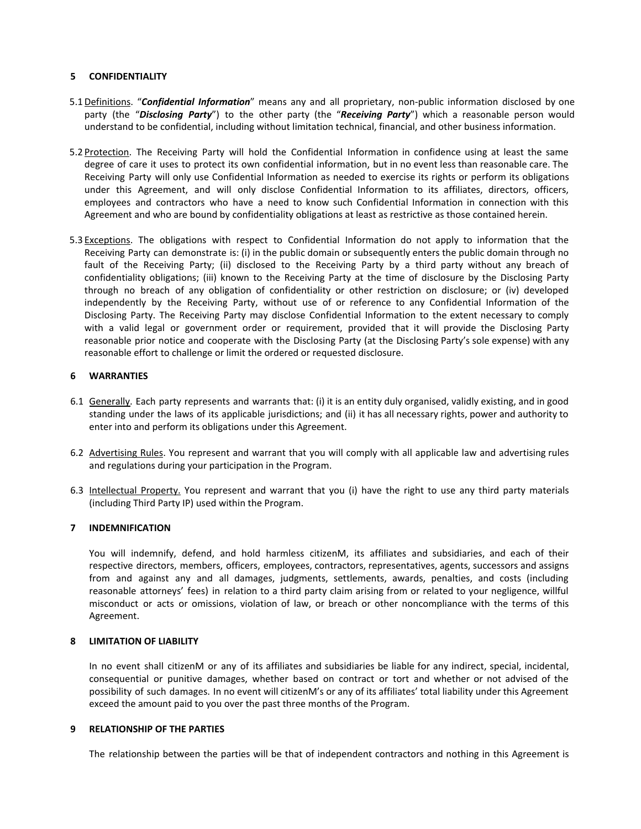## **5 CONFIDENTIALITY**

- 5.1 Definitions. "*Confidential Information*" means any and all proprietary, non-public information disclosed by one party (the "*Disclosing Party*") to the other party (the "*Receiving Party*") which a reasonable person would understand to be confidential, including without limitation technical, financial, and other business information.
- 5.2 Protection. The Receiving Party will hold the Confidential Information in confidence using at least the same degree of care it uses to protect its own confidential information, but in no event less than reasonable care. The Receiving Party will only use Confidential Information as needed to exercise its rights or perform its obligations under this Agreement, and will only disclose Confidential Information to its affiliates, directors, officers, employees and contractors who have a need to know such Confidential Information in connection with this Agreement and who are bound by confidentiality obligations at least as restrictive as those contained herein.
- 5.3 Exceptions. The obligations with respect to Confidential Information do not apply to information that the Receiving Party can demonstrate is: (i) in the public domain or subsequently enters the public domain through no fault of the Receiving Party; (ii) disclosed to the Receiving Party by a third party without any breach of confidentiality obligations; (iii) known to the Receiving Party at the time of disclosure by the Disclosing Party through no breach of any obligation of confidentiality or other restriction on disclosure; or (iv) developed independently by the Receiving Party, without use of or reference to any Confidential Information of the Disclosing Party. The Receiving Party may disclose Confidential Information to the extent necessary to comply with a valid legal or government order or requirement, provided that it will provide the Disclosing Party reasonable prior notice and cooperate with the Disclosing Party (at the Disclosing Party's sole expense) with any reasonable effort to challenge or limit the ordered or requested disclosure.

# **6 WARRANTIES**

- 6.1 Generally. Each party represents and warrants that: (i) it is an entity duly organised, validly existing, and in good standing under the laws of its applicable jurisdictions; and (ii) it has all necessary rights, power and authority to enter into and perform its obligations under this Agreement.
- 6.2 Advertising Rules. You represent and warrant that you will comply with all applicable law and advertising rules and regulations during your participation in the Program.
- 6.3 Intellectual Property. You represent and warrant that you (i) have the right to use any third party materials (including Third Party IP) used within the Program.

### **7 INDEMNIFICATION**

You will indemnify, defend, and hold harmless citizenM, its affiliates and subsidiaries, and each of their respective directors, members, officers, employees, contractors, representatives, agents, successors and assigns from and against any and all damages, judgments, settlements, awards, penalties, and costs (including reasonable attorneys' fees) in relation to a third party claim arising from or related to your negligence, willful misconduct or acts or omissions, violation of law, or breach or other noncompliance with the terms of this Agreement.

### **8 LIMITATION OF LIABILITY**

In no event shall citizenM or any of its affiliates and subsidiaries be liable for any indirect, special, incidental, consequential or punitive damages, whether based on contract or tort and whether or not advised of the possibility of such damages. In no event will citizenM's or any of its affiliates' total liability under this Agreement exceed the amount paid to you over the past three months of the Program.

### **9 RELATIONSHIP OF THE PARTIES**

The relationship between the parties will be that of independent contractors and nothing in this Agreement is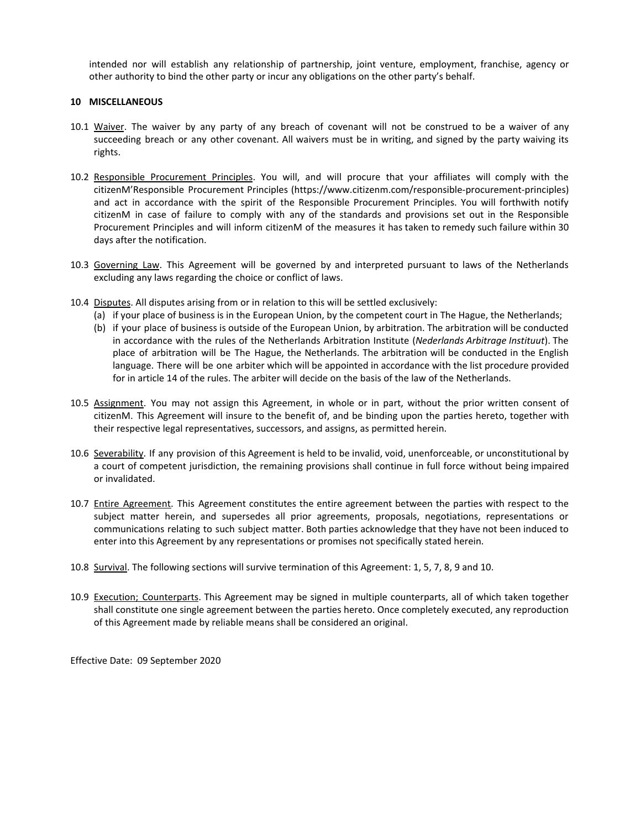intended nor will establish any relationship of partnership, joint venture, employment, franchise, agency or other authority to bind the other party or incur any obligations on the other party's behalf.

## **10 MISCELLANEOUS**

- 10.1 Waiver. The waiver by any party of any breach of covenant will not be construed to be a waiver of any succeeding breach or any other covenant. All waivers must be in writing, and signed by the party waiving its rights.
- 10.2 Responsible Procurement Principles. You will, and will procure that your affiliates will comply with the citizenM'Responsible Procurement Principles (https://www.citizenm.com/responsible-procurement-principles) and act in accordance with the spirit of the Responsible Procurement Principles. You will forthwith notify citizenM in case of failure to comply with any of the standards and provisions set out in the Responsible Procurement Principles and will inform citizenM of the measures it has taken to remedy such failure within 30 days after the notification.
- 10.3 Governing Law. This Agreement will be governed by and interpreted pursuant to laws of the Netherlands excluding any laws regarding the choice or conflict of laws.
- 10.4 Disputes. All disputes arising from or in relation to this will be settled exclusively:
	- (a) if your place of business is in the European Union, by the competent court in The Hague, the Netherlands;
	- (b) if your place of business is outside of the European Union, by arbitration. The arbitration will be conducted in accordance with the rules of the Netherlands Arbitration Institute (*Nederlands Arbitrage Instituut*). The place of arbitration will be The Hague, the Netherlands. The arbitration will be conducted in the English language. There will be one arbiter which will be appointed in accordance with the list procedure provided for in article 14 of the rules. The arbiter will decide on the basis of the law of the Netherlands.
- 10.5 Assignment. You may not assign this Agreement, in whole or in part, without the prior written consent of citizenM. This Agreement will insure to the benefit of, and be binding upon the parties hereto, together with their respective legal representatives, successors, and assigns, as permitted herein.
- 10.6 Severability. If any provision of this Agreement is held to be invalid, void, unenforceable, or unconstitutional by a court of competent jurisdiction, the remaining provisions shall continue in full force without being impaired or invalidated.
- 10.7 Entire Agreement. This Agreement constitutes the entire agreement between the parties with respect to the subject matter herein, and supersedes all prior agreements, proposals, negotiations, representations or communications relating to such subject matter. Both parties acknowledge that they have not been induced to enter into this Agreement by any representations or promises not specifically stated herein.
- 10.8 Survival. The following sections will survive termination of this Agreement: 1, 5, 7, 8, 9 and 10.
- 10.9 Execution; Counterparts. This Agreement may be signed in multiple counterparts, all of which taken together shall constitute one single agreement between the parties hereto. Once completely executed, any reproduction of this Agreement made by reliable means shall be considered an original.

Effective Date: 09 September 2020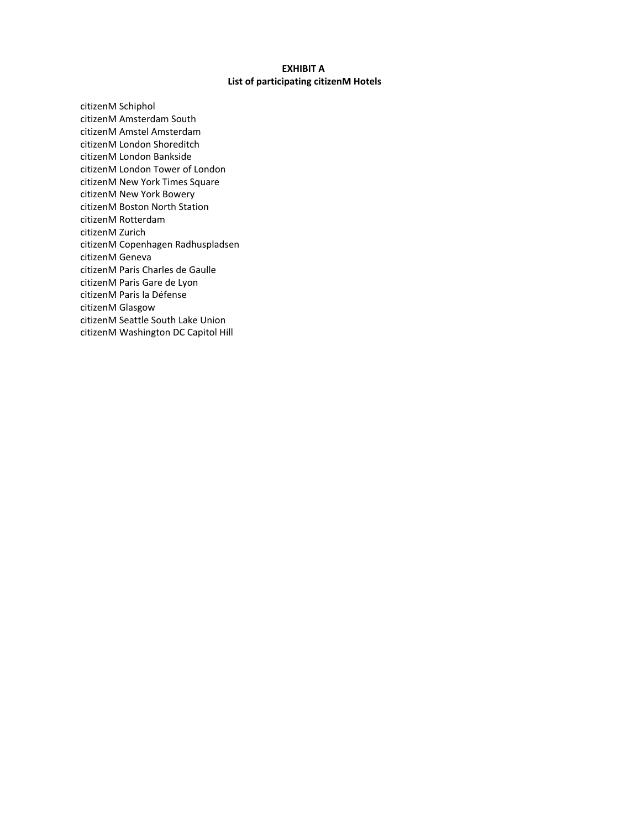# **EXHIBIT A List of participating citizenM Hotels**

citizenM Schiphol citizenM Amsterdam South citizenM Amstel Amsterdam citizenM London Shoreditch citizenM London Bankside citizenM London Tower of London citizenM New York Times Square citizenM New York Bowery citizenM Boston North Station citizenM Rotterdam citizenM Zurich citizenM Copenhagen Radhuspladsen citizenM Geneva citizenM Paris Charles de Gaulle citizenM Paris Gare de Lyon citizenM Paris la Défense citizenM Glasgow citizenM Seattle South Lake Union citizenM Washington DC Capitol Hill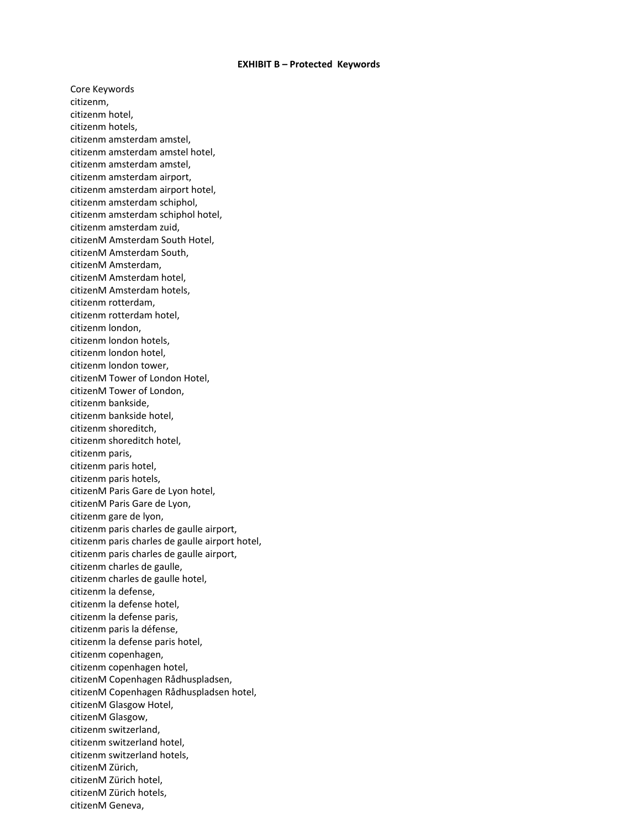#### **EXHIBIT B – Protected Keywords**

Core Keywords citizenm, citizenm hotel, citizenm hotels, citizenm amsterdam amstel, citizenm amsterdam amstel hotel, citizenm amsterdam amstel, citizenm amsterdam airport, citizenm amsterdam airport hotel, citizenm amsterdam schiphol, citizenm amsterdam schiphol hotel, citizenm amsterdam zuid, citizenM Amsterdam South Hotel, citizenM Amsterdam South, citizenM Amsterdam, citizenM Amsterdam hotel, citizenM Amsterdam hotels, citizenm rotterdam, citizenm rotterdam hotel, citizenm london, citizenm london hotels, citizenm london hotel, citizenm london tower, citizenM Tower of London Hotel, citizenM Tower of London, citizenm bankside, citizenm bankside hotel, citizenm shoreditch, citizenm shoreditch hotel, citizenm paris, citizenm paris hotel, citizenm paris hotels, citizenM Paris Gare de Lyon hotel, citizenM Paris Gare de Lyon, citizenm gare de lyon, citizenm paris charles de gaulle airport, citizenm paris charles de gaulle airport hotel, citizenm paris charles de gaulle airport, citizenm charles de gaulle, citizenm charles de gaulle hotel, citizenm la defense, citizenm la defense hotel, citizenm la defense paris, citizenm paris la défense, citizenm la defense paris hotel, citizenm copenhagen, citizenm copenhagen hotel, citizenM Copenhagen Rådhuspladsen, citizenM Copenhagen Rådhuspladsen hotel, citizenM Glasgow Hotel, citizenM Glasgow, citizenm switzerland, citizenm switzerland hotel, citizenm switzerland hotels, citizenM Zürich, citizenM Zürich hotel, citizenM Zürich hotels, citizenM Geneva,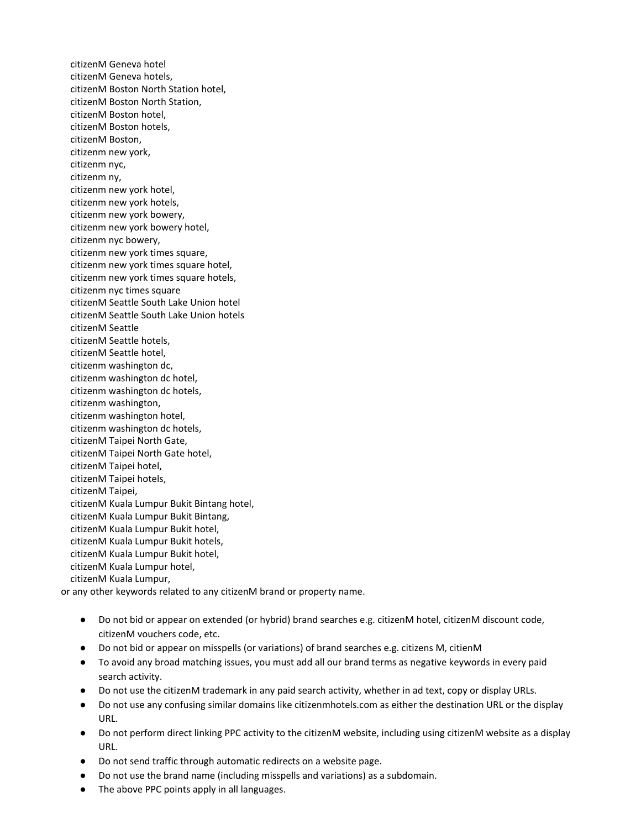citizenM Geneva hotel citizenM Geneva hotels, citizenM Boston North Station hotel, citizenM Boston North Station, citizenM Boston hotel, citizenM Boston hotels, citizenM Boston, citizenm new york, citizenm nyc, citizenm ny, citizenm new york hotel, citizenm new york hotels, citizenm new york bowery, citizenm new york bowery hotel, citizenm nyc bowery, citizenm new york times square, citizenm new york times square hotel, citizenm new york times square hotels, citizenm nyc times square citizenM Seattle South Lake Union hotel citizenM Seattle South Lake Union hotels citizenM Seattle citizenM Seattle hotels, citizenM Seattle hotel, citizenm washington dc, citizenm washington dc hotel, citizenm washington dc hotels, citizenm washington, citizenm washington hotel, citizenm washington dc hotels, citizenM Taipei North Gate, citizenM Taipei North Gate hotel, citizenM Taipei hotel, citizenM Taipei hotels, citizenM Taipei, citizenM Kuala Lumpur Bukit Bintang hotel, citizenM Kuala Lumpur Bukit Bintang, citizenM Kuala Lumpur Bukit hotel, citizenM Kuala Lumpur Bukit hotels, citizenM Kuala Lumpur Bukit hotel, citizenM Kuala Lumpur hotel, citizenM Kuala Lumpur,

or any other keywords related to any citizenM brand or property name.

- Do not bid or appear on extended (or hybrid) brand searches e.g. citizenM hotel, citizenM discount code, citizenM vouchers code, etc.
- Do not bid or appear on misspells (or variations) of brand searches e.g. citizens M, citienM
- To avoid any broad matching issues, you must add all our brand terms as negative keywords in every paid search activity.
- Do not use the citizenM trademark in any paid search activity, whether in ad text, copy or display URLs.
- Do not use any confusing similar domains like citizenmhotels.com as either the destination URL or the display URL.
- Do not perform direct linking PPC activity to the citizenM website, including using citizenM website as a display URL.
- Do not send traffic through automatic redirects on a website page.
- Do not use the brand name (including misspells and variations) as a subdomain.
- The above PPC points apply in all languages.